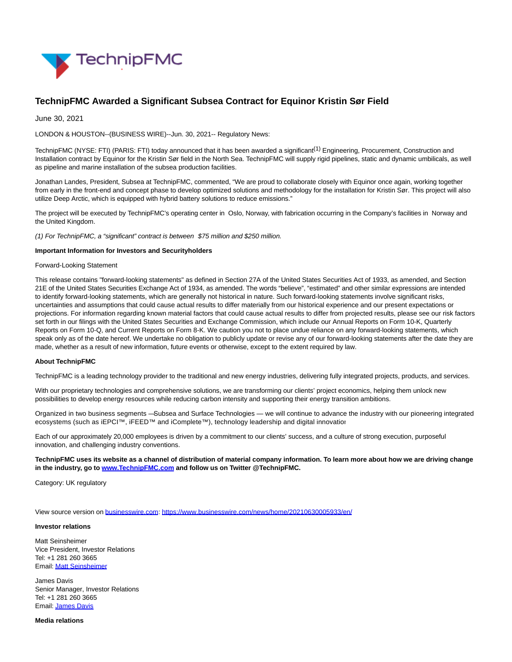

# **TechnipFMC Awarded a Significant Subsea Contract for Equinor Kristin Sør Field**

June 30, 2021

LONDON & HOUSTON--(BUSINESS WIRE)--Jun. 30, 2021-- Regulatory News:

TechnipFMC (NYSE: FTI) (PARIS: FTI) today announced that it has been awarded a significant<sup>(1)</sup> Engineering, Procurement, Construction and Installation contract by Equinor for the Kristin Sør field in the North Sea. TechnipFMC will supply rigid pipelines, static and dynamic umbilicals, as well as pipeline and marine installation of the subsea production facilities.

Jonathan Landes, President, Subsea at TechnipFMC, commented, "We are proud to collaborate closely with Equinor once again, working together from early in the front-end and concept phase to develop optimized solutions and methodology for the installation for Kristin Sør. This project will also utilize Deep Arctic, which is equipped with hybrid battery solutions to reduce emissions."

The project will be executed by TechnipFMC's operating center in Oslo, Norway, with fabrication occurring in the Company's facilities in Norway and the United Kingdom.

(1) For TechnipFMC, a "significant" contract is between \$75 million and \$250 million.

### **Important Information for Investors and Securityholders**

#### Forward-Looking Statement

This release contains "forward-looking statements" as defined in Section 27A of the United States Securities Act of 1933, as amended, and Section 21E of the United States Securities Exchange Act of 1934, as amended. The words "believe", "estimated" and other similar expressions are intended to identify forward-looking statements, which are generally not historical in nature. Such forward-looking statements involve significant risks, uncertainties and assumptions that could cause actual results to differ materially from our historical experience and our present expectations or projections. For information regarding known material factors that could cause actual results to differ from projected results, please see our risk factors set forth in our filings with the United States Securities and Exchange Commission, which include our Annual Reports on Form 10-K, Quarterly Reports on Form 10-Q, and Current Reports on Form 8-K. We caution you not to place undue reliance on any forward-looking statements, which speak only as of the date hereof. We undertake no obligation to publicly update or revise any of our forward-looking statements after the date they are made, whether as a result of new information, future events or otherwise, except to the extent required by law.

#### **About TechnipFMC**

TechnipFMC is a leading technology provider to the traditional and new energy industries, delivering fully integrated projects, products, and services.

With our proprietary technologies and comprehensive solutions, we are transforming our clients' project economics, helping them unlock new possibilities to develop energy resources while reducing carbon intensity and supporting their energy transition ambitions.

Organized in two business segments — Subsea and Surface Technologies — we will continue to advance the industry with our pioneering integrated ecosystems (such as iEPCI™, iFEED™ and iComplete™), technology leadership and digital innovation.

Each of our approximately 20,000 employees is driven by a commitment to our clients' success, and a culture of strong execution, purposeful innovation, and challenging industry conventions.

## **TechnipFMC uses its website as a channel of distribution of material company information. To learn more about how we are driving change in the industry, go to [www.TechnipFMC.com a](https://cts.businesswire.com/ct/CT?id=smartlink&url=http%3A%2F%2Fwww.technipfmc.com%2F&esheet=52453881&newsitemid=20210630005933&lan=en-US&anchor=www.TechnipFMC.com&index=1&md5=3f20252a64067e6c59d246614fccdce2)nd follow us on Twitter @TechnipFMC.**

Category: UK regulatory

View source version on [businesswire.com:](http://businesswire.com/)<https://www.businesswire.com/news/home/20210630005933/en/>

#### **Investor relations**

Matt Seinsheimer Vice President, Investor Relations Tel: +1 281 260 3665 Email[: Matt Seinsheimer](mailto:InvestorRelations@TechnipFMC.com)

James Davis Senior Manager, Investor Relations Tel: +1 281 260 3665 Email[: James Davis](mailto:InvestorRelations@TechnipFMC.com)

**Media relations**